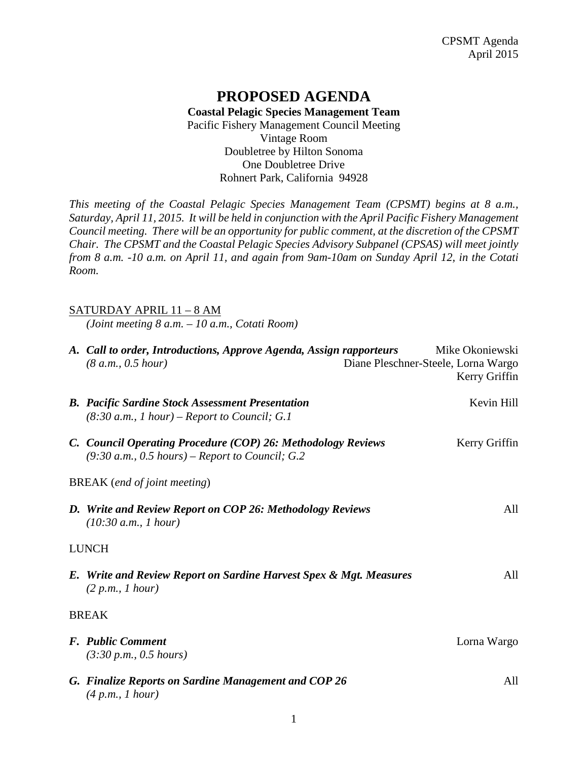## **PROPOSED AGENDA Coastal Pelagic Species Management Team** Pacific Fishery Management Council Meeting Vintage Room Doubletree by Hilton Sonoma One Doubletree Drive Rohnert Park, California 94928

*This meeting of the Coastal Pelagic Species Management Team (CPSMT) begins at 8 a.m., Saturday, April 11, 2015. It will be held in conjunction with the April Pacific Fishery Management Council meeting. There will be an opportunity for public comment, at the discretion of the CPSMT Chair. The CPSMT and the Coastal Pelagic Species Advisory Subpanel (CPSAS) will meet jointly from 8 a.m. -10 a.m. on April 11, and again from 9am-10am on Sunday April 12, in the Cotati Room.*

### SATURDAY APRIL 11 – 8 AM

*(Joint meeting 8 a.m. – 10 a.m., Cotati Room)*

|                                     | A. Call to order, Introductions, Approve Agenda, Assign rapporteurs<br>(8 a.m., 0.5 hour)                         |  | Mike Okoniewski<br>Diane Pleschner-Steele, Lorna Wargo<br>Kerry Griffin |  |
|-------------------------------------|-------------------------------------------------------------------------------------------------------------------|--|-------------------------------------------------------------------------|--|
|                                     | <b>B.</b> Pacific Sardine Stock Assessment Presentation<br>$(8:30 a.m., 1 hour)$ – Report to Council; G.1         |  | Kevin Hill                                                              |  |
|                                     | C. Council Operating Procedure (COP) 26: Methodology Reviews<br>$(9:30 a.m., 0.5 hours)$ – Report to Council; G.2 |  | Kerry Griffin                                                           |  |
| <b>BREAK</b> (end of joint meeting) |                                                                                                                   |  |                                                                         |  |
|                                     | D. Write and Review Report on COP 26: Methodology Reviews<br>(10:30 a.m., 1 hour)                                 |  | All                                                                     |  |
| <b>LUNCH</b>                        |                                                                                                                   |  |                                                                         |  |
|                                     | E. Write and Review Report on Sardine Harvest Spex & Mgt. Measures<br>(2 p.m., I hour)                            |  | All                                                                     |  |
|                                     | <b>BREAK</b>                                                                                                      |  |                                                                         |  |
|                                     | <b>F.</b> Public Comment<br>(3:30 p.m., 0.5 hours)                                                                |  | Lorna Wargo                                                             |  |
|                                     | G. Finalize Reports on Sardine Management and COP 26<br>(4 p.m., 1 hour)                                          |  | All                                                                     |  |